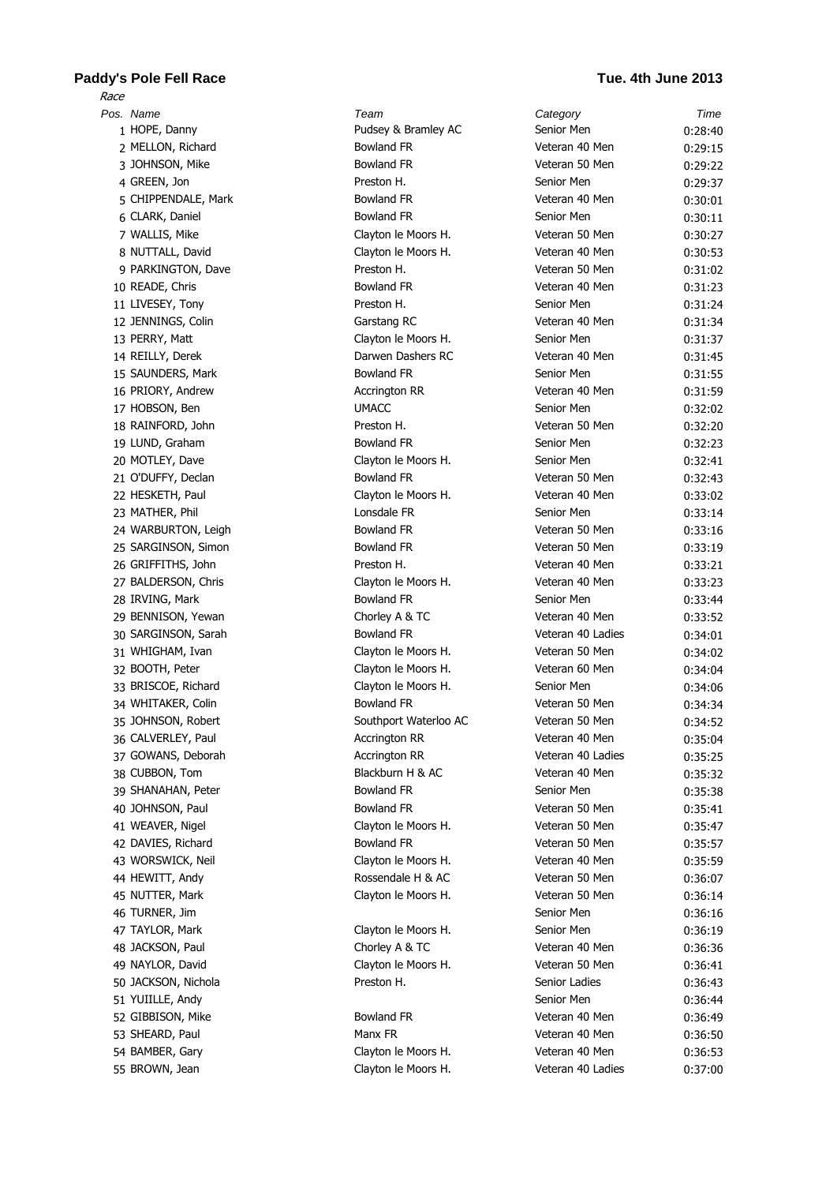## **Paddy's Pole Fell Race Tue. 4th June 2013** Race

| Pos. Name           | Team                  | Category          | Time    |
|---------------------|-----------------------|-------------------|---------|
| 1 HOPE, Danny       | Pudsey & Bramley AC   | Senior Men        | 0:28:40 |
| 2 MELLON, Richard   | <b>Bowland FR</b>     | Veteran 40 Men    | 0:29:15 |
| 3 JOHNSON, Mike     | <b>Bowland FR</b>     | Veteran 50 Men    | 0:29:22 |
| 4 GREEN, Jon        | Preston H.            | Senior Men        | 0:29:37 |
| 5 CHIPPENDALE, Mark | <b>Bowland FR</b>     | Veteran 40 Men    | 0:30:01 |
| 6 CLARK, Daniel     | <b>Bowland FR</b>     | Senior Men        | 0:30:11 |
| 7 WALLIS, Mike      | Clayton le Moors H.   | Veteran 50 Men    | 0:30:27 |
| 8 NUTTALL, David    | Clayton le Moors H.   | Veteran 40 Men    | 0:30:53 |
| 9 PARKINGTON, Dave  | Preston H.            | Veteran 50 Men    | 0:31:02 |
| 10 READE, Chris     | <b>Bowland FR</b>     | Veteran 40 Men    | 0:31:23 |
| 11 LIVESEY, Tony    | Preston H.            | Senior Men        | 0:31:24 |
| 12 JENNINGS, Colin  | Garstang RC           | Veteran 40 Men    | 0:31:34 |
| 13 PERRY, Matt      | Clayton le Moors H.   | Senior Men        | 0:31:37 |
| 14 REILLY, Derek    | Darwen Dashers RC     | Veteran 40 Men    | 0:31:45 |
| 15 SAUNDERS, Mark   | <b>Bowland FR</b>     | Senior Men        | 0:31:55 |
| 16 PRIORY, Andrew   | <b>Accrington RR</b>  | Veteran 40 Men    | 0:31:59 |
| 17 HOBSON, Ben      | <b>UMACC</b>          | Senior Men        | 0:32:02 |
| 18 RAINFORD, John   | Preston H.            | Veteran 50 Men    | 0:32:20 |
| 19 LUND, Graham     | <b>Bowland FR</b>     | Senior Men        | 0:32:23 |
| 20 MOTLEY, Dave     | Clayton le Moors H.   | Senior Men        | 0:32:41 |
| 21 O'DUFFY, Declan  | <b>Bowland FR</b>     | Veteran 50 Men    | 0:32:43 |
| 22 HESKETH, Paul    | Clayton le Moors H.   | Veteran 40 Men    | 0:33:02 |
| 23 MATHER, Phil     | Lonsdale FR           | Senior Men        | 0:33:14 |
| 24 WARBURTON, Leigh | <b>Bowland FR</b>     | Veteran 50 Men    | 0:33:16 |
| 25 SARGINSON, Simon | <b>Bowland FR</b>     | Veteran 50 Men    | 0:33:19 |
| 26 GRIFFITHS, John  | Preston H.            | Veteran 40 Men    | 0:33:21 |
| 27 BALDERSON, Chris | Clayton le Moors H.   | Veteran 40 Men    | 0:33:23 |
| 28 IRVING, Mark     | <b>Bowland FR</b>     | Senior Men        | 0:33:44 |
| 29 BENNISON, Yewan  | Chorley A & TC        | Veteran 40 Men    | 0:33:52 |
| 30 SARGINSON, Sarah | <b>Bowland FR</b>     | Veteran 40 Ladies | 0:34:01 |
| 31 WHIGHAM, Ivan    | Clayton le Moors H.   | Veteran 50 Men    | 0:34:02 |
| 32 BOOTH, Peter     | Clayton le Moors H.   | Veteran 60 Men    | 0:34:04 |
| 33 BRISCOE, Richard | Clayton le Moors H.   | Senior Men        | 0:34:06 |
| 34 WHITAKER, Colin  | <b>Bowland FR</b>     | Veteran 50 Men    | 0:34:34 |
| 35 JOHNSON, Robert  | Southport Waterloo AC | Veteran 50 Men    | 0:34:52 |
| 36 CALVERLEY, Paul  | Accrington RR         | Veteran 40 Men    | 0:35:04 |
| 37 GOWANS, Deborah  | <b>Accrington RR</b>  | Veteran 40 Ladies | 0:35:25 |
| 38 CUBBON, Tom      | Blackburn H & AC      | Veteran 40 Men    | 0:35:32 |
| 39 SHANAHAN, Peter  | <b>Bowland FR</b>     | Senior Men        | 0:35:38 |
| 40 JOHNSON, Paul    | <b>Bowland FR</b>     | Veteran 50 Men    | 0:35:41 |
| 41 WEAVER, Nigel    | Clayton le Moors H.   | Veteran 50 Men    | 0:35:47 |
| 42 DAVIES, Richard  | <b>Bowland FR</b>     | Veteran 50 Men    | 0:35:57 |
| 43 WORSWICK, Neil   | Clayton le Moors H.   | Veteran 40 Men    | 0:35:59 |
| 44 HEWITT, Andy     | Rossendale H & AC     | Veteran 50 Men    | 0:36:07 |
| 45 NUTTER, Mark     | Clayton le Moors H.   | Veteran 50 Men    | 0:36:14 |
| 46 TURNER, Jim      |                       | Senior Men        | 0:36:16 |
| 47 TAYLOR, Mark     | Clayton le Moors H.   | Senior Men        | 0:36:19 |
| 48 JACKSON, Paul    | Chorley A & TC        | Veteran 40 Men    | 0:36:36 |
| 49 NAYLOR, David    | Clayton le Moors H.   | Veteran 50 Men    | 0:36:41 |
| 50 JACKSON, Nichola | Preston H.            | Senior Ladies     | 0:36:43 |
| 51 YUIILLE, Andy    |                       | Senior Men        | 0:36:44 |
| 52 GIBBISON, Mike   | <b>Bowland FR</b>     | Veteran 40 Men    | 0:36:49 |
| 53 SHEARD, Paul     | Manx FR               | Veteran 40 Men    | 0:36:50 |
| 54 BAMBER, Gary     | Clayton le Moors H.   | Veteran 40 Men    | 0:36:53 |
| 55 BROWN, Jean      | Clayton le Moors H.   | Veteran 40 Ladies | 0:37:00 |